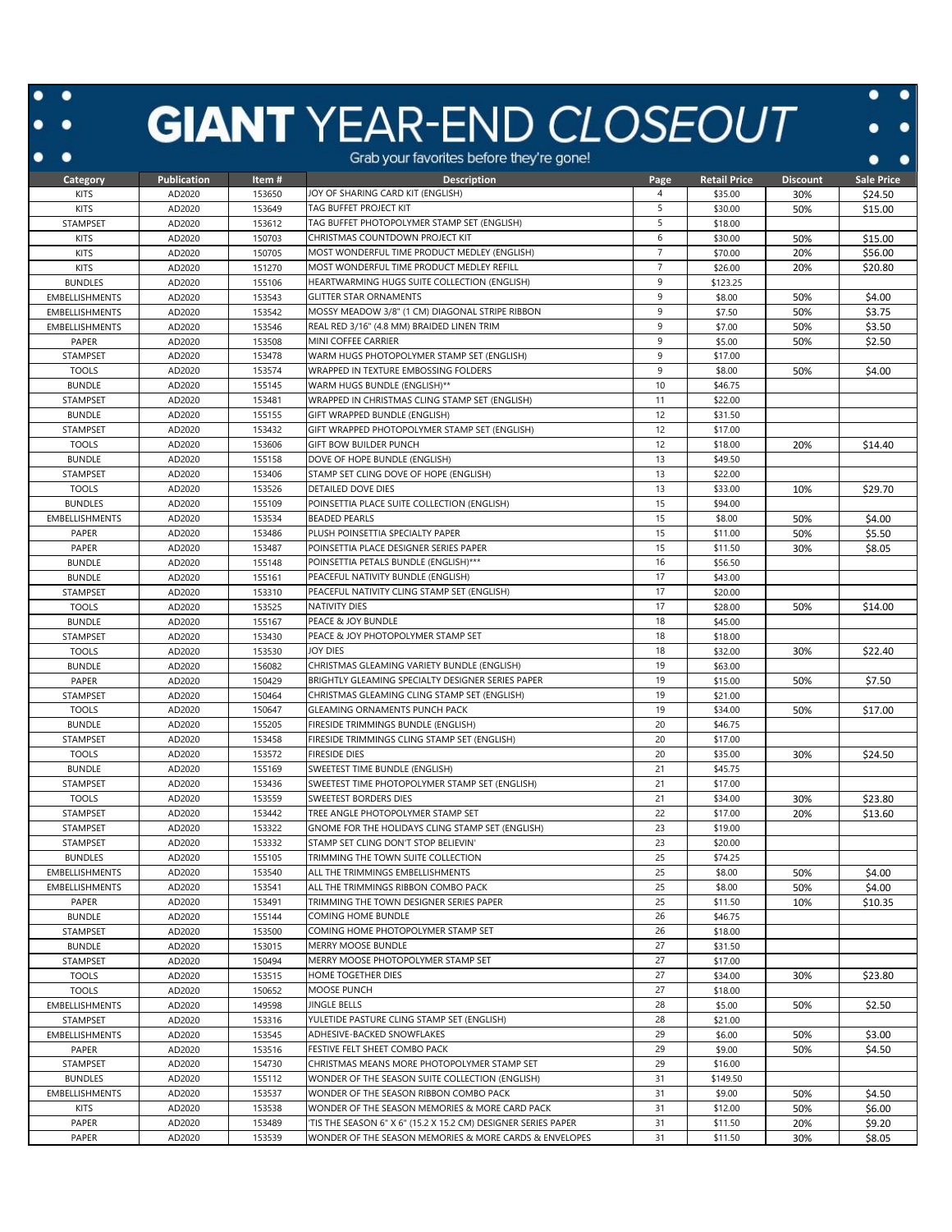## **GIANT** YEAR-END CLOSEOUT

 $\bullet$ 

 $\bullet$ 

|                       |                    |        | orab your ravoities before they religione:                     |                |                     |                 |            |
|-----------------------|--------------------|--------|----------------------------------------------------------------|----------------|---------------------|-----------------|------------|
| Category              | <b>Publication</b> | Item#  | <b>Description</b>                                             | Page           | <b>Retail Price</b> | <b>Discount</b> | Sale Price |
| <b>KITS</b>           | AD2020             | 153650 | JOY OF SHARING CARD KIT (ENGLISH)                              | 4              | \$35.00             | 30%             | \$24.50    |
| KITS                  | AD2020             | 153649 | TAG BUFFET PROJECT KIT                                         | 5              | \$30.00             | 50%             | \$15.00    |
| STAMPSET              | AD2020             | 153612 | TAG BUFFET PHOTOPOLYMER STAMP SET (ENGLISH)                    | 5              | \$18.00             |                 |            |
| <b>KITS</b>           | AD2020             | 150703 | CHRISTMAS COUNTDOWN PROJECT KIT                                | 6              | \$30.00             | 50%             | \$15.00    |
| KITS                  | AD2020             | 150705 | MOST WONDERFUL TIME PRODUCT MEDLEY (ENGLISH)                   | $\overline{7}$ | \$70.00             | 20%             | \$56.00    |
| KITS                  | AD2020             | 151270 | MOST WONDERFUL TIME PRODUCT MEDLEY REFILL                      | $\overline{7}$ | \$26.00             | 20%             | \$20.80    |
|                       |                    |        |                                                                |                |                     |                 |            |
| <b>BUNDLES</b>        | AD2020             | 155106 | HEARTWARMING HUGS SUITE COLLECTION (ENGLISH)                   | 9              | \$123.25            |                 |            |
| EMBELLISHMENTS        | AD2020             | 153543 | <b>GLITTER STAR ORNAMENTS</b>                                  | 9              | \$8.00              | 50%             | \$4.00     |
| EMBELLISHMENTS        | AD2020             | 153542 | MOSSY MEADOW 3/8" (1 CM) DIAGONAL STRIPE RIBBON                | 9              | \$7.50              | 50%             | \$3.75     |
| EMBELLISHMENTS        | AD2020             | 153546 | REAL RED 3/16" (4.8 MM) BRAIDED LINEN TRIM                     | 9              | \$7.00              | 50%             | \$3.50     |
| PAPER                 | AD2020             | 153508 | MINI COFFEE CARRIER                                            | 9              | \$5.00              | 50%             | \$2.50     |
| STAMPSET              | AD2020             | 153478 | WARM HUGS PHOTOPOLYMER STAMP SET (ENGLISH)                     | 9              | \$17.00             |                 |            |
| <b>TOOLS</b>          | AD2020             | 153574 | WRAPPED IN TEXTURE EMBOSSING FOLDERS                           | 9              | \$8.00              | 50%             | \$4.00     |
| <b>BUNDLE</b>         | AD2020             | 155145 | WARM HUGS BUNDLE (ENGLISH)**                                   | 10             | \$46.75             |                 |            |
| STAMPSET              | AD2020             | 153481 | WRAPPED IN CHRISTMAS CLING STAMP SET (ENGLISH)                 | 11             | \$22.00             |                 |            |
| <b>BUNDLE</b>         | AD2020             | 155155 | GIFT WRAPPED BUNDLE (ENGLISH)                                  | 12             | \$31.50             |                 |            |
| STAMPSET              | AD2020             | 153432 | GIFT WRAPPED PHOTOPOLYMER STAMP SET (ENGLISH)                  | 12             | \$17.00             |                 |            |
| <b>TOOLS</b>          | AD2020             | 153606 | GIFT BOW BUILDER PUNCH                                         | 12             | \$18.00             | 20%             | \$14.40    |
|                       |                    |        |                                                                |                |                     |                 |            |
| <b>BUNDLE</b>         | AD2020             | 155158 | DOVE OF HOPE BUNDLE (ENGLISH)                                  | 13             | \$49.50             |                 |            |
| <b>STAMPSET</b>       | AD2020             | 153406 | STAMP SET CLING DOVE OF HOPE (ENGLISH)                         | 13             | \$22.00             |                 |            |
| <b>TOOLS</b>          | AD2020             | 153526 | <b>DETAILED DOVE DIES</b>                                      | 13             | \$33.00             | 10%             | \$29.70    |
| <b>BUNDLES</b>        | AD2020             | 155109 | POINSETTIA PLACE SUITE COLLECTION (ENGLISH)                    | 15             | \$94.00             |                 |            |
| EMBELLISHMENTS        | AD2020             | 153534 | <b>BEADED PEARLS</b>                                           | 15             | \$8.00              | 50%             | \$4.00     |
| PAPER                 | AD2020             | 153486 | PLUSH POINSETTIA SPECIALTY PAPER                               | 15             | \$11.00             | 50%             | \$5.50     |
| PAPER                 | AD2020             | 153487 | POINSETTIA PLACE DESIGNER SERIES PAPER                         | 15             | \$11.50             | 30%             | \$8.05     |
| <b>BUNDLE</b>         | AD2020             | 155148 | POINSETTIA PETALS BUNDLE (ENGLISH)***                          | 16             | \$56.50             |                 |            |
| <b>BUNDLE</b>         | AD2020             | 155161 | PEACEFUL NATIVITY BUNDLE (ENGLISH)                             | 17             | \$43.00             |                 |            |
| STAMPSET              | AD2020             | 153310 | PEACEFUL NATIVITY CLING STAMP SET (ENGLISH)                    | 17             | \$20.00             |                 |            |
| <b>TOOLS</b>          | AD2020             | 153525 | <b>NATIVITY DIES</b>                                           | 17             | \$28.00             | 50%             | \$14.00    |
|                       |                    |        |                                                                |                |                     |                 |            |
| <b>BUNDLE</b>         | AD2020             | 155167 | PEACE & JOY BUNDLE                                             | 18             | \$45.00             |                 |            |
| STAMPSET              | AD2020             | 153430 | PEACE & JOY PHOTOPOLYMER STAMP SET                             | 18             | \$18.00             |                 |            |
| <b>TOOLS</b>          | AD2020             | 153530 | <b>JOY DIES</b>                                                | 18             | \$32.00             | 30%             | \$22.40    |
| <b>BUNDLE</b>         | AD2020             | 156082 | CHRISTMAS GLEAMING VARIETY BUNDLE (ENGLISH)                    | 19             | \$63.00             |                 |            |
| PAPER                 | AD2020             | 150429 | BRIGHTLY GLEAMING SPECIALTY DESIGNER SERIES PAPER              | 19             | \$15.00             | 50%             | \$7.50     |
| STAMPSET              | AD2020             | 150464 | CHRISTMAS GLEAMING CLING STAMP SET (ENGLISH)                   | 19             | \$21.00             |                 |            |
| <b>TOOLS</b>          | AD2020             | 150647 | <b>GLEAMING ORNAMENTS PUNCH PACK</b>                           | 19             | \$34.00             | 50%             | \$17.00    |
| <b>BUNDLE</b>         | AD2020             | 155205 | FIRESIDE TRIMMINGS BUNDLE (ENGLISH)                            | 20             | \$46.75             |                 |            |
| STAMPSET              | AD2020             | 153458 | FIRESIDE TRIMMINGS CLING STAMP SET (ENGLISH)                   | 20             | \$17.00             |                 |            |
| <b>TOOLS</b>          | AD2020             | 153572 | <b>FIRESIDE DIES</b>                                           | 20             | \$35.00             | 30%             | \$24.50    |
| <b>BUNDLE</b>         | AD2020             | 155169 | SWEETEST TIME BUNDLE (ENGLISH)                                 | 21             | \$45.75             |                 |            |
| STAMPSET              | AD2020             | 153436 | SWEETEST TIME PHOTOPOLYMER STAMP SET (ENGLISH)                 | 21             | \$17.00             |                 |            |
| <b>TOOLS</b>          |                    |        |                                                                |                |                     |                 |            |
|                       | AD2020             | 153559 | SWEETEST BORDERS DIES                                          | 21             | \$34.00             | 30%             | \$23.80    |
| STAMPSET              | AD2020             | 153442 | TREE ANGLE PHOTOPOLYMER STAMP SET                              | 22             | \$17.00             | 20%             | \$13.60    |
| STAMPSET              | AD2020             | 153322 | GNOME FOR THE HOLIDAYS CLING STAMP SET (ENGLISH)               | 23             | \$19.00             |                 |            |
| STAMPSET              | AD2020             | 153332 | STAMP SET CLING DON'T STOP BELIEVIN'                           | 23             | \$20.00             |                 |            |
| <b>BUNDLES</b>        | AD2020             | 155105 | TRIMMING THE TOWN SUITE COLLECTION                             | 25             | \$74.25             |                 |            |
| <b>EMBELLISHMENTS</b> | AD2020             | 153540 | ALL THE TRIMMINGS EMBELLISHMENTS                               | 25             | \$8.00              | 50%             | \$4.00     |
| <b>EMBELLISHMENTS</b> | AD2020             | 153541 | ALL THE TRIMMINGS RIBBON COMBO PACK                            | 25             | \$8.00              | 50%             | \$4.00     |
| PAPER                 | AD2020             | 153491 | TRIMMING THE TOWN DESIGNER SERIES PAPER                        | 25             | \$11.50             | 10%             | \$10.35    |
| <b>BUNDLE</b>         | AD2020             | 155144 | COMING HOME BUNDLE                                             | 26             | \$46.75             |                 |            |
| STAMPSET              | AD2020             | 153500 | COMING HOME PHOTOPOLYMER STAMP SET                             | 26             | \$18.00             |                 |            |
| <b>BUNDLE</b>         | AD2020             | 153015 | MERRY MOOSE BUNDLE                                             | 27             | \$31.50             |                 |            |
| STAMPSET              | AD2020             | 150494 | MERRY MOOSE PHOTOPOLYMER STAMP SET                             | 27             | \$17.00             |                 |            |
| <b>TOOLS</b>          | AD2020             | 153515 | HOME TOGETHER DIES                                             | 27             | \$34.00             | 30%             | \$23.80    |
| <b>TOOLS</b>          | AD2020             | 150652 | MOOSE PUNCH                                                    | 27             | \$18.00             |                 |            |
|                       |                    |        |                                                                |                |                     |                 |            |
| EMBELLISHMENTS        | AD2020             | 149598 | <b>JINGLE BELLS</b>                                            | 28             | \$5.00              | 50%             | \$2.50     |
| STAMPSET              | AD2020             | 153316 | YULETIDE PASTURE CLING STAMP SET (ENGLISH)                     | 28             | \$21.00             |                 |            |
| EMBELLISHMENTS        | AD2020             | 153545 | ADHESIVE-BACKED SNOWFLAKES                                     | 29             | \$6.00              | 50%             | \$3.00     |
| PAPER                 | AD2020             | 153516 | FESTIVE FELT SHEET COMBO PACK                                  | 29             | \$9.00              | 50%             | \$4.50     |
| STAMPSET              | AD2020             | 154730 | CHRISTMAS MEANS MORE PHOTOPOLYMER STAMP SET                    | 29             | \$16.00             |                 |            |
| <b>BUNDLES</b>        | AD2020             | 155112 | WONDER OF THE SEASON SUITE COLLECTION (ENGLISH)                | 31             | \$149.50            |                 |            |
| EMBELLISHMENTS        | AD2020             | 153537 | WONDER OF THE SEASON RIBBON COMBO PACK                         | 31             | \$9.00              | 50%             | \$4.50     |
| <b>KITS</b>           | AD2020             | 153538 | WONDER OF THE SEASON MEMORIES & MORE CARD PACK                 | 31             | \$12.00             | 50%             | \$6.00     |
| PAPER                 | AD2020             | 153489 | 'TIS THE SEASON 6" X 6" (15.2 X 15.2 CM) DESIGNER SERIES PAPER | 31             | \$11.50             | 20%             | \$9.20     |
| PAPER                 | AD2020             | 153539 | WONDER OF THE SEASON MEMORIES & MORE CARDS & ENVELOPES         | 31             | \$11.50             | 30%             | \$8.05     |
|                       |                    |        |                                                                |                |                     |                 |            |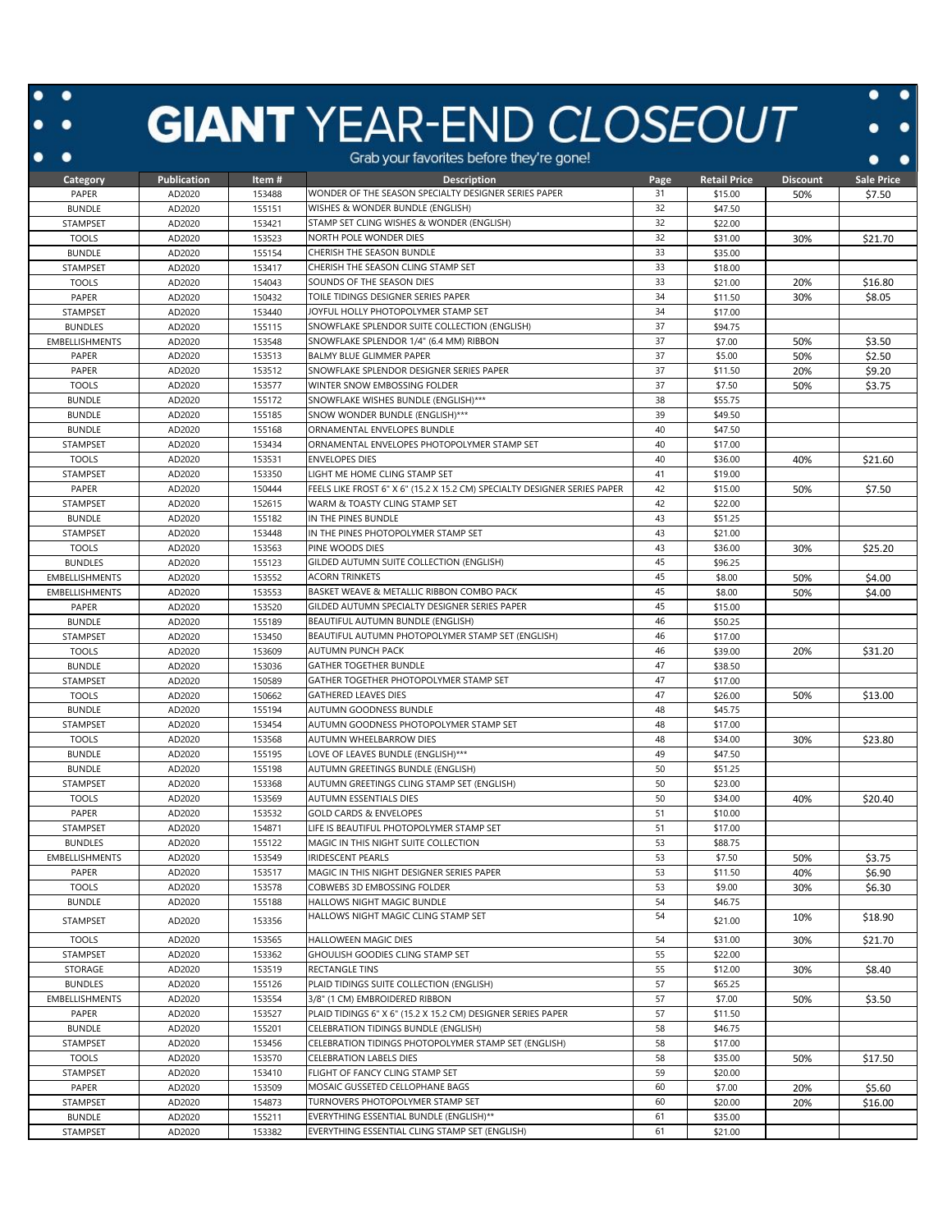## **GIANT** YEAR-END CLOSEOUT

 $\ddot{\cdot}$ 

|                       |             |        | Grap your lavoilles belore they re gone!                                  |      |                     |                 |            |
|-----------------------|-------------|--------|---------------------------------------------------------------------------|------|---------------------|-----------------|------------|
| Category              | Publication | Item#  | <b>Description</b>                                                        | Page | <b>Retail Price</b> | <b>Discount</b> | Sale Price |
| PAPER                 | AD2020      | 153488 | WONDER OF THE SEASON SPECIALTY DESIGNER SERIES PAPER                      | 31   | \$15.00             | 50%             | \$7.50     |
| <b>BUNDLE</b>         | AD2020      | 155151 | WISHES & WONDER BUNDLE (ENGLISH)                                          | 32   | \$47.50             |                 |            |
| STAMPSET              | AD2020      | 153421 | STAMP SET CLING WISHES & WONDER (ENGLISH)                                 | 32   | \$22.00             |                 |            |
| <b>TOOLS</b>          | AD2020      | 153523 | NORTH POLE WONDER DIES                                                    | 32   | \$31.00             | 30%             | \$21.70    |
| <b>BUNDLE</b>         | AD2020      | 155154 | CHERISH THE SEASON BUNDLE                                                 | 33   | \$35.00             |                 |            |
| STAMPSET              | AD2020      | 153417 | CHERISH THE SEASON CLING STAMP SET                                        | 33   | \$18.00             |                 |            |
| <b>TOOLS</b>          | AD2020      | 154043 | SOUNDS OF THE SEASON DIES                                                 | 33   | \$21.00             | 20%             | \$16.80    |
| PAPER                 | AD2020      | 150432 | TOILE TIDINGS DESIGNER SERIES PAPER                                       | 34   | \$11.50             | 30%             | \$8.05     |
| STAMPSET              | AD2020      | 153440 | JOYFUL HOLLY PHOTOPOLYMER STAMP SET                                       | 34   | \$17.00             |                 |            |
| <b>BUNDLES</b>        | AD2020      | 155115 | SNOWFLAKE SPLENDOR SUITE COLLECTION (ENGLISH)                             | 37   | \$94.75             |                 |            |
| <b>EMBELLISHMENTS</b> | AD2020      | 153548 | SNOWFLAKE SPLENDOR 1/4" (6.4 MM) RIBBON                                   | 37   | \$7.00              | 50%             | \$3.50     |
| PAPER                 | AD2020      | 153513 | BALMY BLUE GLIMMER PAPER                                                  | 37   | \$5.00              | 50%             | \$2.50     |
| PAPER                 | AD2020      | 153512 | SNOWFLAKE SPLENDOR DESIGNER SERIES PAPER                                  | 37   | \$11.50             | 20%             | \$9.20     |
| <b>TOOLS</b>          | AD2020      | 153577 | WINTER SNOW EMBOSSING FOLDER                                              | 37   | \$7.50              | 50%             | \$3.75     |
| <b>BUNDLE</b>         | AD2020      | 155172 | SNOWFLAKE WISHES BUNDLE (ENGLISH)***                                      | 38   | \$55.75             |                 |            |
| <b>BUNDLE</b>         | AD2020      | 155185 | SNOW WONDER BUNDLE (ENGLISH)***                                           | 39   | \$49.50             |                 |            |
| <b>BUNDLE</b>         | AD2020      | 155168 | ORNAMENTAL ENVELOPES BUNDLE                                               | 40   | \$47.50             |                 |            |
| STAMPSET              | AD2020      | 153434 | ORNAMENTAL ENVELOPES PHOTOPOLYMER STAMP SET                               | 40   | \$17.00             |                 |            |
| <b>TOOLS</b>          | AD2020      | 153531 | <b>ENVELOPES DIES</b>                                                     | 40   | \$36.00             | 40%             | \$21.60    |
| <b>STAMPSET</b>       | AD2020      | 153350 | LIGHT ME HOME CLING STAMP SET                                             | 41   | \$19.00             |                 |            |
| PAPER                 | AD2020      | 150444 | FEELS LIKE FROST 6" X 6" (15.2 X 15.2 CM) SPECIALTY DESIGNER SERIES PAPER | 42   | \$15.00             | 50%             | \$7.50     |
| STAMPSET              | AD2020      | 152615 | WARM & TOASTY CLING STAMP SET                                             | 42   | \$22.00             |                 |            |
| <b>BUNDLE</b>         | AD2020      | 155182 | IN THE PINES BUNDLE                                                       | 43   | \$51.25             |                 |            |
| STAMPSET              | AD2020      | 153448 | IN THE PINES PHOTOPOLYMER STAMP SET                                       | 43   | \$21.00             |                 |            |
| <b>TOOLS</b>          | AD2020      | 153563 | PINE WOODS DIES                                                           | 43   | \$36.00             | 30%             | \$25.20    |
| <b>BUNDLES</b>        | AD2020      | 155123 | GILDED AUTUMN SUITE COLLECTION (ENGLISH)                                  | 45   | \$96.25             |                 |            |
| <b>EMBELLISHMENTS</b> | AD2020      | 153552 | <b>ACORN TRINKETS</b>                                                     | 45   | \$8.00              | 50%             | \$4.00     |
| <b>EMBELLISHMENTS</b> | AD2020      | 153553 | BASKET WEAVE & METALLIC RIBBON COMBO PACK                                 | 45   | \$8.00              | 50%             | \$4.00     |
| PAPER                 | AD2020      | 153520 | GILDED AUTUMN SPECIALTY DESIGNER SERIES PAPER                             | 45   | \$15.00             |                 |            |
| <b>BUNDLE</b>         | AD2020      | 155189 | BEAUTIFUL AUTUMN BUNDLE (ENGLISH)                                         | 46   | \$50.25             |                 |            |
| STAMPSET              | AD2020      | 153450 | BEAUTIFUL AUTUMN PHOTOPOLYMER STAMP SET (ENGLISH)                         | 46   | \$17.00             |                 |            |
| <b>TOOLS</b>          | AD2020      | 153609 | AUTUMN PUNCH PACK                                                         | 46   | \$39.00             | 20%             | \$31.20    |
| <b>BUNDLE</b>         | AD2020      | 153036 | <b>GATHER TOGETHER BUNDLE</b>                                             | 47   | \$38.50             |                 |            |
| STAMPSET              | AD2020      | 150589 | GATHER TOGETHER PHOTOPOLYMER STAMP SET                                    | 47   | \$17.00             |                 |            |
| <b>TOOLS</b>          | AD2020      | 150662 | <b>GATHERED LEAVES DIES</b>                                               | 47   | \$26.00             | 50%             | \$13.00    |
| <b>BUNDLE</b>         | AD2020      | 155194 | AUTUMN GOODNESS BUNDLE                                                    | 48   | \$45.75             |                 |            |
| STAMPSET              | AD2020      | 153454 | AUTUMN GOODNESS PHOTOPOLYMER STAMP SET                                    | 48   | \$17.00             |                 |            |
| <b>TOOLS</b>          | AD2020      | 153568 | AUTUMN WHEELBARROW DIES                                                   | 48   | \$34.00             | 30%             | \$23.80    |
| <b>BUNDLE</b>         | AD2020      | 155195 | LOVE OF LEAVES BUNDLE (ENGLISH)***                                        | 49   | \$47.50             |                 |            |
| <b>BUNDLE</b>         | AD2020      | 155198 | AUTUMN GREETINGS BUNDLE (ENGLISH)                                         | 50   | \$51.25             |                 |            |
| STAMPSET              | AD2020      | 153368 | AUTUMN GREETINGS CLING STAMP SET (ENGLISH)                                | 50   | \$23.00             |                 |            |
| <b>TOOLS</b>          | AD2020      | 153569 | <b>AUTUMN ESSENTIALS DIES</b>                                             | 50   | \$34.00             | 40%             | \$20.40    |
| PAPER                 | AD2020      | 153532 | <b>GOLD CARDS &amp; ENVELOPES</b>                                         | 51   | \$10.00             |                 |            |
| STAMPSET              | AD2020      | 154871 | LIFE IS BEAUTIFUL PHOTOPOLYMER STAMP SET                                  | 51   | \$17.00             |                 |            |
| <b>BUNDLES</b>        | AD2020      | 155122 | MAGIC IN THIS NIGHT SUITE COLLECTION                                      | 53   | \$88.75             |                 |            |
| <b>EMBELLISHMENTS</b> | AD2020      | 153549 | IRIDESCENT PEARLS                                                         | 53   | \$7.50              | 50%             | \$3.75     |
| PAPER                 | AD2020      | 153517 | MAGIC IN THIS NIGHT DESIGNER SERIES PAPER                                 | 53   | \$11.50             | 40%             | \$6.90     |
| <b>TOOLS</b>          | AD2020      | 153578 | COBWEBS 3D EMBOSSING FOLDER                                               | 53   | \$9.00              | 30%             | \$6.30     |
| <b>BUNDLE</b>         | AD2020      | 155188 | HALLOWS NIGHT MAGIC BUNDLE                                                | 54   | \$46.75             |                 |            |
|                       |             |        | HALLOWS NIGHT MAGIC CLING STAMP SET                                       | 54   |                     | 10%             | \$18.90    |
| STAMPSET              | AD2020      | 153356 |                                                                           |      | \$21.00             |                 |            |
| <b>TOOLS</b>          | AD2020      | 153565 | HALLOWEEN MAGIC DIES                                                      | 54   | \$31.00             | 30%             | \$21.70    |
| STAMPSET              | AD2020      | 153362 | GHOULISH GOODIES CLING STAMP SET                                          | 55   | \$22.00             |                 |            |
| STORAGE               | AD2020      | 153519 | RECTANGLE TINS                                                            | 55   | \$12.00             | 30%             | \$8.40     |
| <b>BUNDLES</b>        | AD2020      | 155126 | PLAID TIDINGS SUITE COLLECTION (ENGLISH)                                  | 57   | \$65.25             |                 |            |
| <b>EMBELLISHMENTS</b> | AD2020      | 153554 | 3/8" (1 CM) EMBROIDERED RIBBON                                            | 57   | \$7.00              | 50%             | \$3.50     |
| PAPER                 | AD2020      | 153527 | PLAID TIDINGS 6" X 6" (15.2 X 15.2 CM) DESIGNER SERIES PAPER              | 57   | \$11.50             |                 |            |
| <b>BUNDLE</b>         | AD2020      | 155201 | CELEBRATION TIDINGS BUNDLE (ENGLISH)                                      | 58   | \$46.75             |                 |            |
| STAMPSET              | AD2020      | 153456 | CELEBRATION TIDINGS PHOTOPOLYMER STAMP SET (ENGLISH)                      | 58   | \$17.00             |                 |            |
| <b>TOOLS</b>          | AD2020      | 153570 | CELEBRATION LABELS DIES                                                   | 58   | \$35.00             | 50%             | \$17.50    |
| STAMPSET              | AD2020      | 153410 | FLIGHT OF FANCY CLING STAMP SET                                           | 59   | \$20.00             |                 |            |
| PAPER                 | AD2020      | 153509 | MOSAIC GUSSETED CELLOPHANE BAGS                                           | 60   | \$7.00              | 20%             | \$5.60     |
| STAMPSET              | AD2020      | 154873 | TURNOVERS PHOTOPOLYMER STAMP SET                                          | 60   | \$20.00             | 20%             | \$16.00    |
| <b>BUNDLE</b>         | AD2020      | 155211 | EVERYTHING ESSENTIAL BUNDLE (ENGLISH)**                                   | 61   | \$35.00             |                 |            |
| STAMPSET              | AD2020      | 153382 | EVERYTHING ESSENTIAL CLING STAMP SET (ENGLISH)                            | 61   | \$21.00             |                 |            |